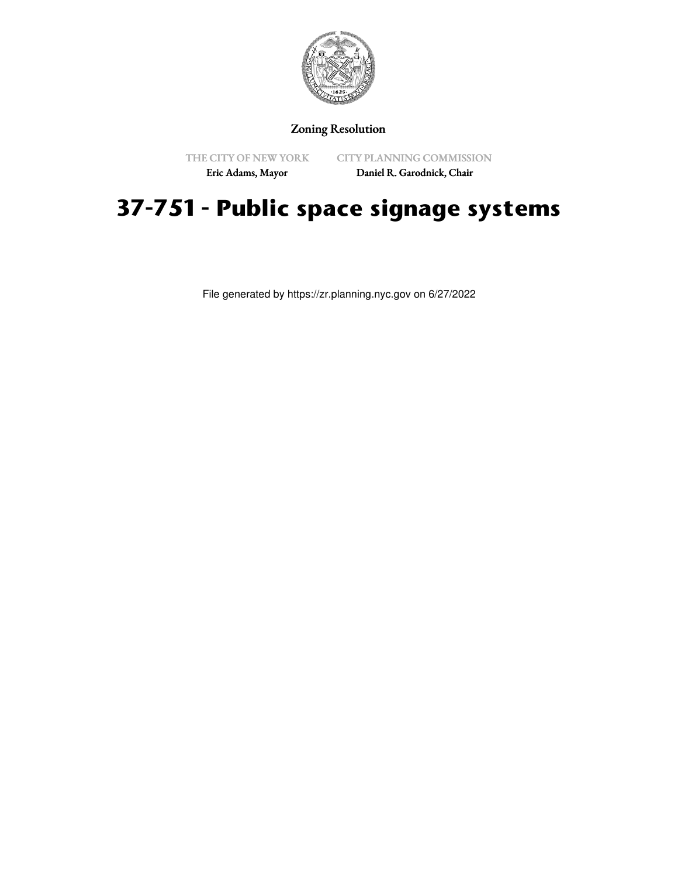

# Zoning Resolution

THE CITY OF NEW YORK

CITY PLANNING COMMISSION

Eric Adams, Mayor

Daniel R. Garodnick, Chair

# **37-751 - Public space signage systems**

File generated by https://zr.planning.nyc.gov on 6/27/2022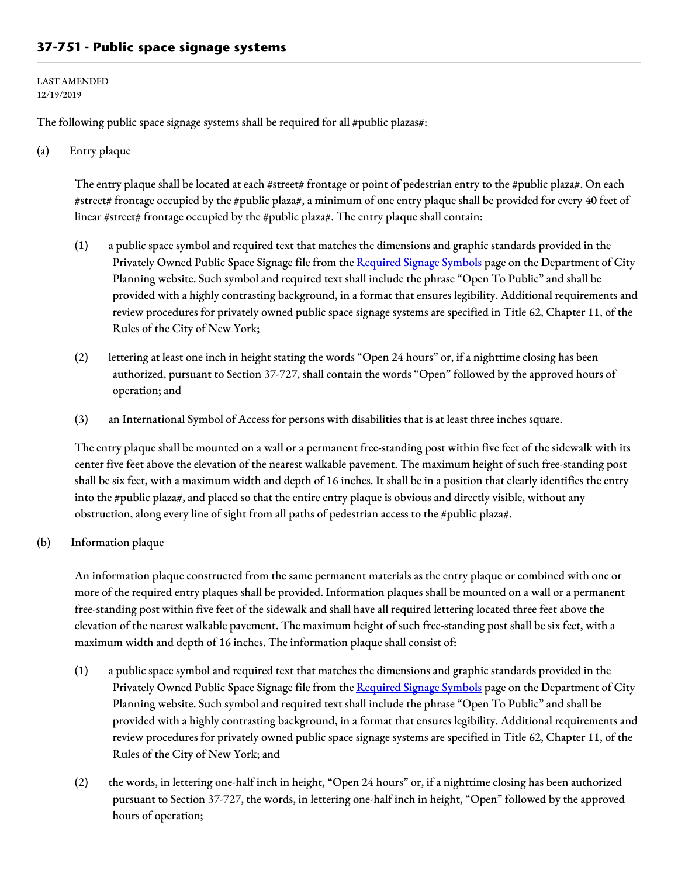## **37-751 - Public space signage systems**

#### LAST AMENDED 12/19/2019

The following public space signage systems shall be required for all  $\#$ public plazas $\#$ :

### (a) Entry plaque

The entry plaque shall be located at each #street# frontage or point of pedestrian entry to the #public plaza#. On each #street# frontage occupied by the #public plaza#, a minimum of one entry plaque shall be provided for every 40 feet of linear #street# frontage occupied by the #public plaza#. The entry plaque shall contain:

- (1) a public space symbol and required text that matches the dimensions and graphic standards provided in the Privately Owned Public Space Signage file from the [Required](https://www1.nyc.gov/site/planning/zoning/graphic-files.page) Signage Symbols page on the Department of City Planning website. Such symbol and required text shall include the phrase "Open To Public" and shall be provided with a highly contrasting background, in a format that ensures legibility. Additional requirements and review procedures for privately owned public space signage systems are specified in Title 62, Chapter 11, of the Rules of the City of New York;
- (2) lettering at least one inch in height stating the words "Open 24 hours" or, if a nighttime closing has been authorized, pursuant to Section 37-727, shall contain the words "Open" followed by the approved hours of operation; and
- (3) an International Symbol of Access for persons with disabilities that is at least three inches square.

The entry plaque shall be mounted on a wall or a permanent free-standing post within five feet of the sidewalk with its center five feet above the elevation of the nearest walkable pavement. The maximum height of such free-standing post shall be six feet, with a maximum width and depth of 16 inches. It shall be in a position that clearly identifies the entry into the #public plaza#, and placed so that the entire entry plaque is obvious and directly visible, without any obstruction, along every line of sight from all paths of pedestrian access to the #public plaza#.

## (b) Information plaque

An information plaque constructed from the same permanent materials as the entry plaque or combined with one or more of the required entry plaques shall be provided. Information plaques shall be mounted on a wall or a permanent free-standing post within five feet of the sidewalk and shall have all required lettering located three feet above the elevation of the nearest walkable pavement. The maximum height of such free-standing post shall be six feet, with a maximum width and depth of 16 inches. The information plaque shall consist of:

- (1) a public space symbol and required text that matches the dimensions and graphic standards provided in the Privately Owned Public Space Signage file from the [Required](https://www1.nyc.gov/site/planning/zoning/graphic-files.page) Signage Symbols page on the Department of City Planning website. Such symbol and required text shall include the phrase "Open To Public" and shall be provided with a highly contrasting background, in a format that ensures legibility. Additional requirements and review procedures for privately owned public space signage systems are specified in Title 62, Chapter 11, of the Rules of the City of New York; and
- (2) the words, in lettering one-half inch in height, "Open 24 hours" or, if a nighttime closing has been authorized pursuant to Section 37-727, the words, in lettering one-half inch in height, "Open" followed by the approved hours of operation;